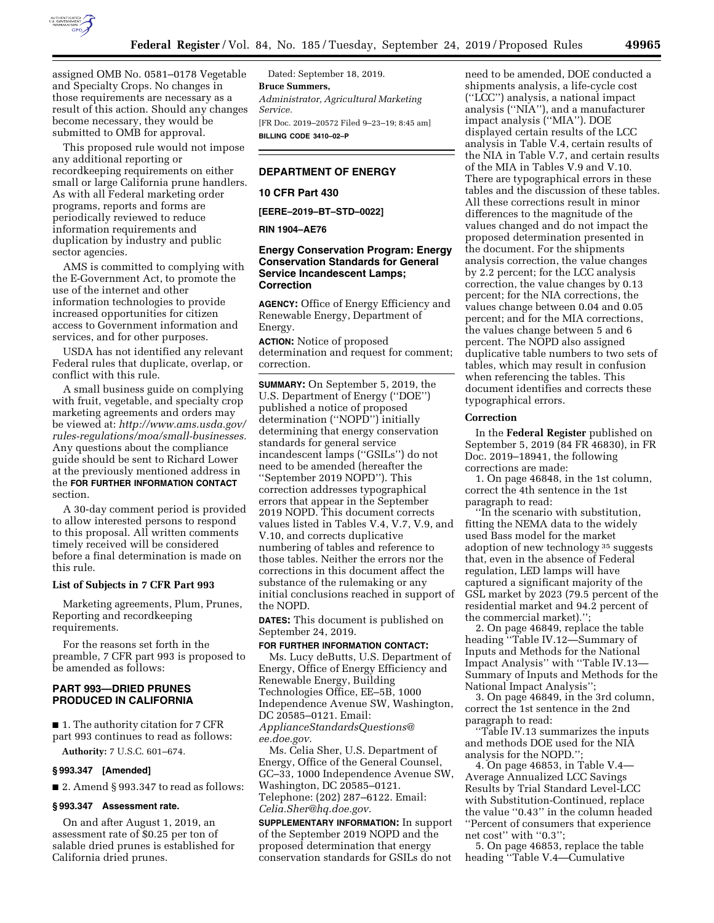

assigned OMB No. 0581–0178 Vegetable and Specialty Crops. No changes in those requirements are necessary as a result of this action. Should any changes become necessary, they would be submitted to OMB for approval.

This proposed rule would not impose any additional reporting or recordkeeping requirements on either small or large California prune handlers. As with all Federal marketing order programs, reports and forms are periodically reviewed to reduce information requirements and duplication by industry and public sector agencies.

AMS is committed to complying with the E-Government Act, to promote the use of the internet and other information technologies to provide increased opportunities for citizen access to Government information and services, and for other purposes.

USDA has not identified any relevant Federal rules that duplicate, overlap, or conflict with this rule.

A small business guide on complying with fruit, vegetable, and specialty crop marketing agreements and orders may be viewed at: *[http://www.ams.usda.gov/](http://www.ams.usda.gov/rules-regulations/moa/small-businesses) [rules-regulations/moa/small-businesses.](http://www.ams.usda.gov/rules-regulations/moa/small-businesses)*  Any questions about the compliance guide should be sent to Richard Lower at the previously mentioned address in the **FOR FURTHER INFORMATION CONTACT** section.

A 30-day comment period is provided to allow interested persons to respond to this proposal. All written comments timely received will be considered before a final determination is made on this rule.

## **List of Subjects in 7 CFR Part 993**

Marketing agreements, Plum, Prunes, Reporting and recordkeeping requirements.

For the reasons set forth in the preamble, 7 CFR part 993 is proposed to be amended as follows:

# **PART 993—DRIED PRUNES PRODUCED IN CALIFORNIA**

■ 1. The authority citation for 7 CFR part 993 continues to read as follows:

**Authority:** 7 U.S.C. 601–674.

## **§ 993.347 [Amended]**

■ 2. Amend § 993.347 to read as follows:

## **§ 993.347 Assessment rate.**

On and after August 1, 2019, an assessment rate of \$0.25 per ton of salable dried prunes is established for California dried prunes.

Dated: September 18, 2019. **Bruce Summers,**  *Administrator, Agricultural Marketing Service.*  [FR Doc. 2019–20572 Filed 9–23–19; 8:45 am] **BILLING CODE 3410–02–P** 

# **DEPARTMENT OF ENERGY**

## **10 CFR Part 430**

**[EERE–2019–BT–STD–0022]** 

#### **RIN 1904–AE76**

## **Energy Conservation Program: Energy Conservation Standards for General Service Incandescent Lamps; Correction**

**AGENCY:** Office of Energy Efficiency and Renewable Energy, Department of Energy.

**ACTION:** Notice of proposed determination and request for comment; correction.

**SUMMARY:** On September 5, 2019, the U.S. Department of Energy (''DOE'') published a notice of proposed determination (''NOPD'') initially determining that energy conservation standards for general service incandescent lamps (''GSILs'') do not need to be amended (hereafter the ''September 2019 NOPD''). This correction addresses typographical errors that appear in the September 2019 NOPD. This document corrects values listed in Tables V.4, V.7, V.9, and V.10, and corrects duplicative numbering of tables and reference to those tables. Neither the errors nor the corrections in this document affect the substance of the rulemaking or any initial conclusions reached in support of the NOPD.

**DATES:** This document is published on September 24, 2019.

# **FOR FURTHER INFORMATION CONTACT:**

Ms. Lucy deButts, U.S. Department of Energy, Office of Energy Efficiency and Renewable Energy, Building Technologies Office, EE–5B, 1000 Independence Avenue SW, Washington, DC 20585–0121. Email: *[ApplianceStandardsQuestions@](mailto:ApplianceStandardsQuestions@ee.doe.gov) [ee.doe.gov.](mailto:ApplianceStandardsQuestions@ee.doe.gov)* 

Ms. Celia Sher, U.S. Department of Energy, Office of the General Counsel, GC–33, 1000 Independence Avenue SW, Washington, DC 20585–0121. Telephone: (202) 287–6122. Email: *[Celia.Sher@hq.doe.gov.](mailto:Celia.Sher@hq.doe.gov)* 

**SUPPLEMENTARY INFORMATION:** In support of the September 2019 NOPD and the proposed determination that energy conservation standards for GSILs do not

need to be amended, DOE conducted a shipments analysis, a life-cycle cost (''LCC'') analysis, a national impact analysis (''NIA''), and a manufacturer impact analysis (''MIA''). DOE displayed certain results of the LCC analysis in Table V.4, certain results of the NIA in Table V.7, and certain results of the MIA in Tables V.9 and V.10. There are typographical errors in these tables and the discussion of these tables. All these corrections result in minor differences to the magnitude of the values changed and do not impact the proposed determination presented in the document. For the shipments analysis correction, the value changes by 2.2 percent; for the LCC analysis correction, the value changes by 0.13 percent; for the NIA corrections, the values change between 0.04 and 0.05 percent; and for the MIA corrections, the values change between 5 and 6 percent. The NOPD also assigned duplicative table numbers to two sets of tables, which may result in confusion when referencing the tables. This document identifies and corrects these typographical errors.

#### **Correction**

In the **Federal Register** published on September 5, 2019 (84 FR 46830), in FR Doc. 2019–18941, the following corrections are made:

1. On page 46848, in the 1st column, correct the 4th sentence in the 1st paragraph to read:

''In the scenario with substitution, fitting the NEMA data to the widely used Bass model for the market adoption of new technology 35 suggests that, even in the absence of Federal regulation, LED lamps will have captured a significant majority of the GSL market by 2023 (79.5 percent of the residential market and 94.2 percent of the commercial market).'';

2. On page 46849, replace the table heading ''Table IV.12—Summary of Inputs and Methods for the National Impact Analysis'' with ''Table IV.13— Summary of Inputs and Methods for the National Impact Analysis'';

3. On page 46849, in the 3rd column, correct the 1st sentence in the 2nd paragraph to read:

''Table IV.13 summarizes the inputs and methods DOE used for the NIA analysis for the NOPD.'';

4. On page 46853, in Table V.4— Average Annualized LCC Savings Results by Trial Standard Level-LCC with Substitution-Continued, replace the value ''0.43'' in the column headed ''Percent of consumers that experience net cost'' with ''0.3'';

5. On page 46853, replace the table heading ''Table V.4—Cumulative